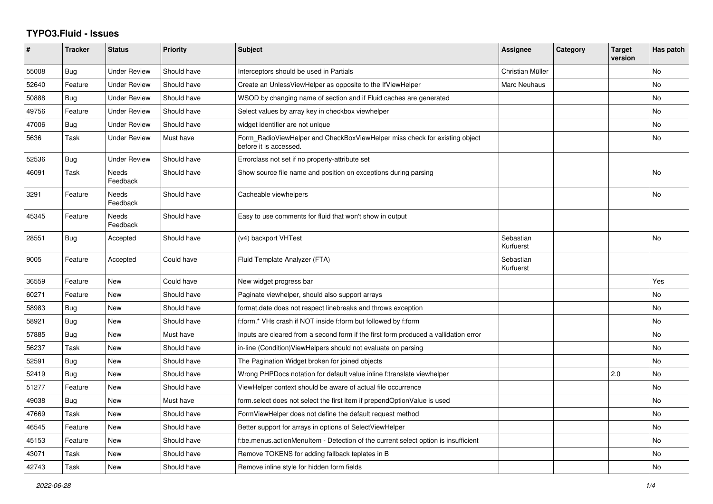## **TYPO3.Fluid - Issues**

| #     | <b>Tracker</b> | <b>Status</b>       | <b>Priority</b> | <b>Subject</b>                                                                                       | Assignee               | Category | <b>Target</b><br>version | Has patch |
|-------|----------------|---------------------|-----------------|------------------------------------------------------------------------------------------------------|------------------------|----------|--------------------------|-----------|
| 55008 | <b>Bug</b>     | <b>Under Review</b> | Should have     | Interceptors should be used in Partials                                                              | Christian Müller       |          |                          | <b>No</b> |
| 52640 | Feature        | <b>Under Review</b> | Should have     | Create an UnlessViewHelper as opposite to the IfViewHelper                                           | Marc Neuhaus           |          |                          | <b>No</b> |
| 50888 | Bug            | <b>Under Review</b> | Should have     | WSOD by changing name of section and if Fluid caches are generated                                   |                        |          |                          | No        |
| 49756 | Feature        | <b>Under Review</b> | Should have     | Select values by array key in checkbox viewhelper                                                    |                        |          |                          | <b>No</b> |
| 47006 | <b>Bug</b>     | <b>Under Review</b> | Should have     | widget identifier are not unique                                                                     |                        |          |                          | No        |
| 5636  | Task           | <b>Under Review</b> | Must have       | Form RadioViewHelper and CheckBoxViewHelper miss check for existing object<br>before it is accessed. |                        |          |                          | No        |
| 52536 | Bug            | Under Review        | Should have     | Errorclass not set if no property-attribute set                                                      |                        |          |                          |           |
| 46091 | Task           | Needs<br>Feedback   | Should have     | Show source file name and position on exceptions during parsing                                      |                        |          |                          | <b>No</b> |
| 3291  | Feature        | Needs<br>Feedback   | Should have     | Cacheable viewhelpers                                                                                |                        |          |                          | No        |
| 45345 | Feature        | Needs<br>Feedback   | Should have     | Easy to use comments for fluid that won't show in output                                             |                        |          |                          |           |
| 28551 | Bug            | Accepted            | Should have     | (v4) backport VHTest                                                                                 | Sebastian<br>Kurfuerst |          |                          | <b>No</b> |
| 9005  | Feature        | Accepted            | Could have      | Fluid Template Analyzer (FTA)                                                                        | Sebastian<br>Kurfuerst |          |                          |           |
| 36559 | Feature        | New                 | Could have      | New widget progress bar                                                                              |                        |          |                          | Yes       |
| 60271 | Feature        | New                 | Should have     | Paginate viewhelper, should also support arrays                                                      |                        |          |                          | <b>No</b> |
| 58983 | Bug            | New                 | Should have     | format.date does not respect linebreaks and throws exception                                         |                        |          |                          | No        |
| 58921 | Bug            | New                 | Should have     | f:form.* VHs crash if NOT inside f:form but followed by f:form                                       |                        |          |                          | No        |
| 57885 | Bug            | New                 | Must have       | Inputs are cleared from a second form if the first form produced a vallidation error                 |                        |          |                          | <b>No</b> |
| 56237 | Task           | New                 | Should have     | in-line (Condition) ViewHelpers should not evaluate on parsing                                       |                        |          |                          | <b>No</b> |
| 52591 | Bug            | New                 | Should have     | The Pagination Widget broken for joined objects                                                      |                        |          |                          | <b>No</b> |
| 52419 | <b>Bug</b>     | New                 | Should have     | Wrong PHPDocs notation for default value inline f:translate viewhelper                               |                        |          | 2.0                      | No        |
| 51277 | Feature        | New                 | Should have     | ViewHelper context should be aware of actual file occurrence                                         |                        |          |                          | <b>No</b> |
| 49038 | Bug            | New                 | Must have       | form.select does not select the first item if prependOptionValue is used                             |                        |          |                          | <b>No</b> |
| 47669 | Task           | New                 | Should have     | FormViewHelper does not define the default request method                                            |                        |          |                          | No        |
| 46545 | Feature        | New                 | Should have     | Better support for arrays in options of SelectViewHelper                                             |                        |          |                          | <b>No</b> |
| 45153 | Feature        | New                 | Should have     | f:be.menus.actionMenuItem - Detection of the current select option is insufficient                   |                        |          |                          | No        |
| 43071 | Task           | New                 | Should have     | Remove TOKENS for adding fallback teplates in B                                                      |                        |          |                          | No        |
| 42743 | Task           | New                 | Should have     | Remove inline style for hidden form fields                                                           |                        |          |                          | No        |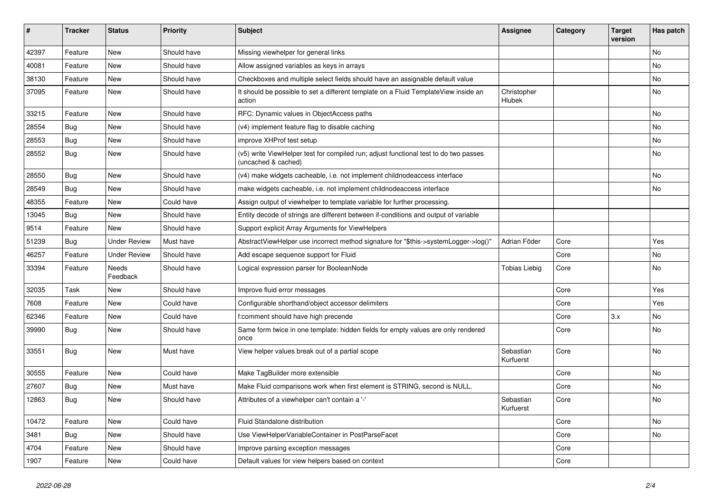| #     | <b>Tracker</b> | <b>Status</b>       | <b>Priority</b> | <b>Subject</b>                                                                                              | <b>Assignee</b>        | Category | <b>Target</b><br>version | Has patch |
|-------|----------------|---------------------|-----------------|-------------------------------------------------------------------------------------------------------------|------------------------|----------|--------------------------|-----------|
| 42397 | Feature        | New                 | Should have     | Missing viewhelper for general links                                                                        |                        |          |                          | <b>No</b> |
| 40081 | Feature        | New                 | Should have     | Allow assigned variables as keys in arrays                                                                  |                        |          |                          | No        |
| 38130 | Feature        | New                 | Should have     | Checkboxes and multiple select fields should have an assignable default value                               |                        |          |                          | No        |
| 37095 | Feature        | New                 | Should have     | It should be possible to set a different template on a Fluid TemplateView inside an<br>action               | Christopher<br>Hlubek  |          |                          | No        |
| 33215 | Feature        | <b>New</b>          | Should have     | RFC: Dynamic values in ObjectAccess paths                                                                   |                        |          |                          | <b>No</b> |
| 28554 | Bug            | New                 | Should have     | (v4) implement feature flag to disable caching                                                              |                        |          |                          | No        |
| 28553 | Bug            | New                 | Should have     | improve XHProf test setup                                                                                   |                        |          |                          | No        |
| 28552 | Bug            | New                 | Should have     | (v5) write ViewHelper test for compiled run; adjust functional test to do two passes<br>(uncached & cached) |                        |          |                          | No        |
| 28550 | Bug            | New                 | Should have     | (v4) make widgets cacheable, i.e. not implement childnodeaccess interface                                   |                        |          |                          | No        |
| 28549 | Bug            | <b>New</b>          | Should have     | make widgets cacheable, i.e. not implement childnodeaccess interface                                        |                        |          |                          | No        |
| 48355 | Feature        | New                 | Could have      | Assign output of viewhelper to template variable for further processing.                                    |                        |          |                          |           |
| 13045 | Bug            | <b>New</b>          | Should have     | Entity decode of strings are different between if-conditions and output of variable                         |                        |          |                          |           |
| 9514  | Feature        | <b>New</b>          | Should have     | Support explicit Array Arguments for ViewHelpers                                                            |                        |          |                          |           |
| 51239 | Bug            | <b>Under Review</b> | Must have       | AbstractViewHelper use incorrect method signature for "\$this->systemLogger->log()"                         | Adrian Föder           | Core     |                          | Yes       |
| 46257 | Feature        | <b>Under Review</b> | Should have     | Add escape sequence support for Fluid                                                                       |                        | Core     |                          | No        |
| 33394 | Feature        | Needs<br>Feedback   | Should have     | Logical expression parser for BooleanNode                                                                   | <b>Tobias Liebig</b>   | Core     |                          | No        |
| 32035 | Task           | New                 | Should have     | Improve fluid error messages                                                                                |                        | Core     |                          | Yes       |
| 7608  | Feature        | New                 | Could have      | Configurable shorthand/object accessor delimiters                                                           |                        | Core     |                          | Yes       |
| 62346 | Feature        | New                 | Could have      | f:comment should have high precende                                                                         |                        | Core     | 3.x                      | No        |
| 39990 | Bug            | New                 | Should have     | Same form twice in one template: hidden fields for empty values are only rendered<br>once                   |                        | Core     |                          | No        |
| 33551 | Bug            | New                 | Must have       | View helper values break out of a partial scope                                                             | Sebastian<br>Kurfuerst | Core     |                          | <b>No</b> |
| 30555 | Feature        | New                 | Could have      | Make TagBuilder more extensible                                                                             |                        | Core     |                          | No        |
| 27607 | Bug            | New                 | Must have       | Make Fluid comparisons work when first element is STRING, second is NULL.                                   |                        | Core     |                          | No        |
| 12863 | Bug            | New                 | Should have     | Attributes of a viewhelper can't contain a '-'                                                              | Sebastian<br>Kurfuerst | Core     |                          | No        |
| 10472 | Feature        | New                 | Could have      | Fluid Standalone distribution                                                                               |                        | Core     |                          | No        |
| 3481  | Bug            | New                 | Should have     | Use ViewHelperVariableContainer in PostParseFacet                                                           |                        | Core     |                          | No        |
| 4704  | Feature        | New                 | Should have     | Improve parsing exception messages                                                                          |                        | Core     |                          |           |
| 1907  | Feature        | New                 | Could have      | Default values for view helpers based on context                                                            |                        | Core     |                          |           |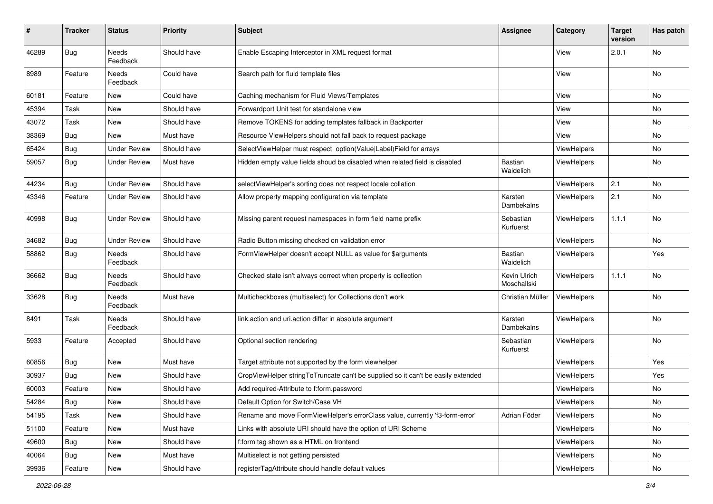| $\#$  | <b>Tracker</b> | <b>Status</b>            | <b>Priority</b> | <b>Subject</b>                                                                   | <b>Assignee</b>             | Category           | <b>Target</b><br>version | Has patch |
|-------|----------------|--------------------------|-----------------|----------------------------------------------------------------------------------|-----------------------------|--------------------|--------------------------|-----------|
| 46289 | <b>Bug</b>     | <b>Needs</b><br>Feedback | Should have     | Enable Escaping Interceptor in XML request format                                |                             | View               | 2.0.1                    | No        |
| 8989  | Feature        | Needs<br>Feedback        | Could have      | Search path for fluid template files                                             |                             | View               |                          | No        |
| 60181 | Feature        | New                      | Could have      | Caching mechanism for Fluid Views/Templates                                      |                             | View               |                          | No        |
| 45394 | Task           | New                      | Should have     | Forwardport Unit test for standalone view                                        |                             | View               |                          | No        |
| 43072 | Task           | New                      | Should have     | Remove TOKENS for adding templates fallback in Backporter                        |                             | View               |                          | No        |
| 38369 | Bug            | New                      | Must have       | Resource ViewHelpers should not fall back to request package                     |                             | View               |                          | No        |
| 65424 | Bug            | <b>Under Review</b>      | Should have     | SelectViewHelper must respect option(Value Label)Field for arrays                |                             | ViewHelpers        |                          | No        |
| 59057 | Bug            | <b>Under Review</b>      | Must have       | Hidden empty value fields shoud be disabled when related field is disabled       | <b>Bastian</b><br>Waidelich | ViewHelpers        |                          | No        |
| 44234 | Bug            | <b>Under Review</b>      | Should have     | selectViewHelper's sorting does not respect locale collation                     |                             | ViewHelpers        | 2.1                      | No        |
| 43346 | Feature        | <b>Under Review</b>      | Should have     | Allow property mapping configuration via template                                | Karsten<br>Dambekalns       | <b>ViewHelpers</b> | 2.1                      | No        |
| 40998 | Bug            | <b>Under Review</b>      | Should have     | Missing parent request namespaces in form field name prefix                      | Sebastian<br>Kurfuerst      | ViewHelpers        | 1.1.1                    | No        |
| 34682 | Bug            | <b>Under Review</b>      | Should have     | Radio Button missing checked on validation error                                 |                             | ViewHelpers        |                          | No        |
| 58862 | Bug            | Needs<br>Feedback        | Should have     | FormViewHelper doesn't accept NULL as value for \$arguments                      | Bastian<br>Waidelich        | ViewHelpers        |                          | Yes       |
| 36662 | Bug            | Needs<br>Feedback        | Should have     | Checked state isn't always correct when property is collection                   | Kevin Ulrich<br>Moschallski | ViewHelpers        | 1.1.1                    | No        |
| 33628 | Bug            | Needs<br>Feedback        | Must have       | Multicheckboxes (multiselect) for Collections don't work                         | Christian Müller            | <b>ViewHelpers</b> |                          | No        |
| 8491  | Task           | Needs<br>Feedback        | Should have     | link.action and uri.action differ in absolute argument                           | Karsten<br>Dambekalns       | ViewHelpers        |                          | No        |
| 5933  | Feature        | Accepted                 | Should have     | Optional section rendering                                                       | Sebastian<br>Kurfuerst      | ViewHelpers        |                          | No        |
| 60856 | Bug            | New                      | Must have       | Target attribute not supported by the form viewhelper                            |                             | ViewHelpers        |                          | Yes       |
| 30937 | Bug            | New                      | Should have     | CropViewHelper stringToTruncate can't be supplied so it can't be easily extended |                             | <b>ViewHelpers</b> |                          | Yes       |
| 60003 | Feature        | New                      | Should have     | Add required-Attribute to f:form.password                                        |                             | ViewHelpers        |                          | No        |
| 54284 | Bug            | New                      | Should have     | Default Option for Switch/Case VH                                                |                             | ViewHelpers        |                          | No        |
| 54195 | Task           | New                      | Should have     | Rename and move FormViewHelper's errorClass value, currently 'f3-form-error'     | Adrian Föder                | ViewHelpers        |                          | No        |
| 51100 | Feature        | New                      | Must have       | Links with absolute URI should have the option of URI Scheme                     |                             | ViewHelpers        |                          | No        |
| 49600 | Bug            | New                      | Should have     | f:form tag shown as a HTML on frontend                                           |                             | ViewHelpers        |                          | No        |
| 40064 | Bug            | New                      | Must have       | Multiselect is not getting persisted                                             |                             | ViewHelpers        |                          | No        |
| 39936 | Feature        | New                      | Should have     | registerTagAttribute should handle default values                                |                             | ViewHelpers        |                          | No        |